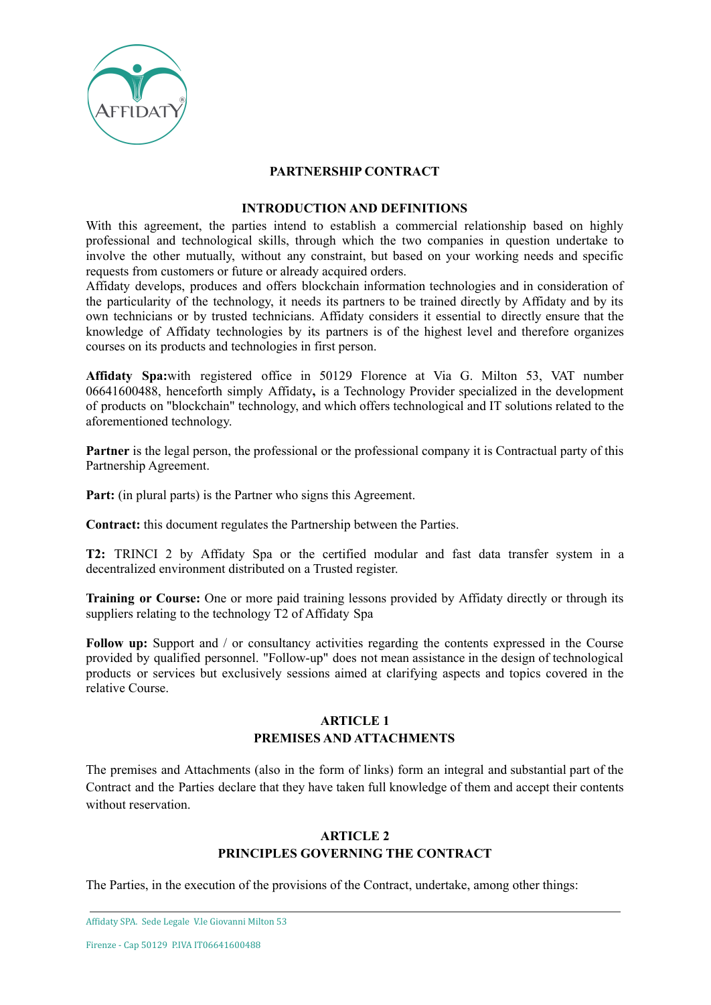

#### **PARTNERSHIP CONTRACT**

#### **INTRODUCTION AND DEFINITIONS**

With this agreement, the parties intend to establish a commercial relationship based on highly professional and technological skills, through which the two companies in question undertake to involve the other mutually, without any constraint, but based on your working needs and specific requests from customers or future or already acquired orders.

Affidaty develops, produces and offers blockchain information technologies and in consideration of the particularity of the technology, it needs its partners to be trained directly by Affidaty and by its own technicians or by trusted technicians. Affidaty considers it essential to directly ensure that the knowledge of Affidaty technologies by its partners is of the highest level and therefore organizes courses on its products and technologies in first person.

**Affidaty Spa:**with registered office in 50129 Florence at Via G. Milton 53, VAT number 06641600488, henceforth simply Affidaty**,** is a Technology Provider specialized in the development of products on "blockchain" technology, and which offers technological and IT solutions related to the aforementioned technology.

**Partner** is the legal person, the professional or the professional company it is Contractual party of this Partnership Agreement.

**Part:** (in plural parts) is the Partner who signs this Agreement.

**Contract:** this document regulates the Partnership between the Parties.

**T2:** TRINCI 2 by Affidaty Spa or the certified modular and fast data transfer system in a decentralized environment distributed on a Trusted register.

**Training or Course:** One or more paid training lessons provided by Affidaty directly or through its suppliers relating to the technology T2 of Affidaty Spa

**Follow up:** Support and / or consultancy activities regarding the contents expressed in the Course provided by qualified personnel. "Follow-up" does not mean assistance in the design of technological products or services but exclusively sessions aimed at clarifying aspects and topics covered in the relative Course.

### **ARTICLE 1 PREMISES AND ATTACHMENTS**

The premises and Attachments (also in the form of links) form an integral and substantial part of the Contract and the Parties declare that they have taken full knowledge of them and accept their contents without reservation.

# **ARTICLE 2 PRINCIPLES GOVERNING THE CONTRACT**

The Parties, in the execution of the provisions of the Contract, undertake, among other things: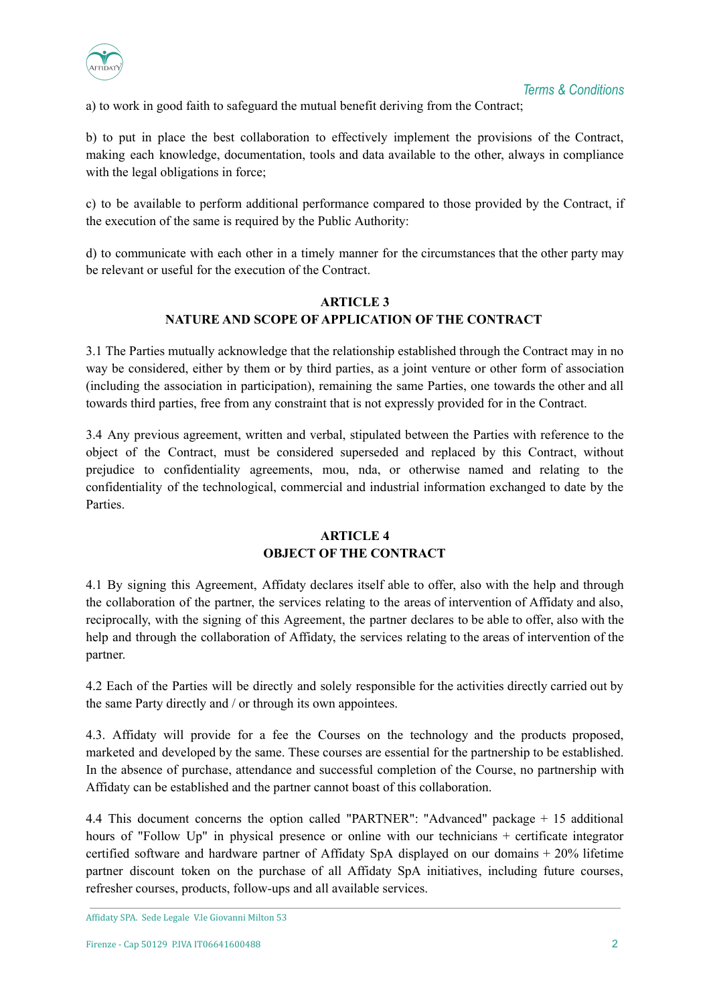

a) to work in good faith to safeguard the mutual benefit deriving from the Contract;

b) to put in place the best collaboration to effectively implement the provisions of the Contract, making each knowledge, documentation, tools and data available to the other, always in compliance with the legal obligations in force;

c) to be available to perform additional performance compared to those provided by the Contract, if the execution of the same is required by the Public Authority:

d) to communicate with each other in a timely manner for the circumstances that the other party may be relevant or useful for the execution of the Contract.

# **ARTICLE 3 NATURE AND SCOPE OF APPLICATION OF THE CONTRACT**

3.1 The Parties mutually acknowledge that the relationship established through the Contract may in no way be considered, either by them or by third parties, as a joint venture or other form of association (including the association in participation), remaining the same Parties, one towards the other and all towards third parties, free from any constraint that is not expressly provided for in the Contract.

3.4 Any previous agreement, written and verbal, stipulated between the Parties with reference to the object of the Contract, must be considered superseded and replaced by this Contract, without prejudice to confidentiality agreements, mou, nda, or otherwise named and relating to the confidentiality of the technological, commercial and industrial information exchanged to date by the Parties.

## **ARTICLE 4 OBJECT OF THE CONTRACT**

4.1 By signing this Agreement, Affidaty declares itself able to offer, also with the help and through the collaboration of the partner, the services relating to the areas of intervention of Affidaty and also, reciprocally, with the signing of this Agreement, the partner declares to be able to offer, also with the help and through the collaboration of Affidaty, the services relating to the areas of intervention of the partner.

4.2 Each of the Parties will be directly and solely responsible for the activities directly carried out by the same Party directly and / or through its own appointees.

4.3. Affidaty will provide for a fee the Courses on the technology and the products proposed, marketed and developed by the same. These courses are essential for the partnership to be established. In the absence of purchase, attendance and successful completion of the Course, no partnership with Affidaty can be established and the partner cannot boast of this collaboration.

4.4 This document concerns the option called "PARTNER": "Advanced" package + 15 additional hours of "Follow Up" in physical presence or online with our technicians + certificate integrator certified software and hardware partner of Affidaty SpA displayed on our domains + 20% lifetime partner discount token on the purchase of all Affidaty SpA initiatives, including future courses, refresher courses, products, follow-ups and all available services.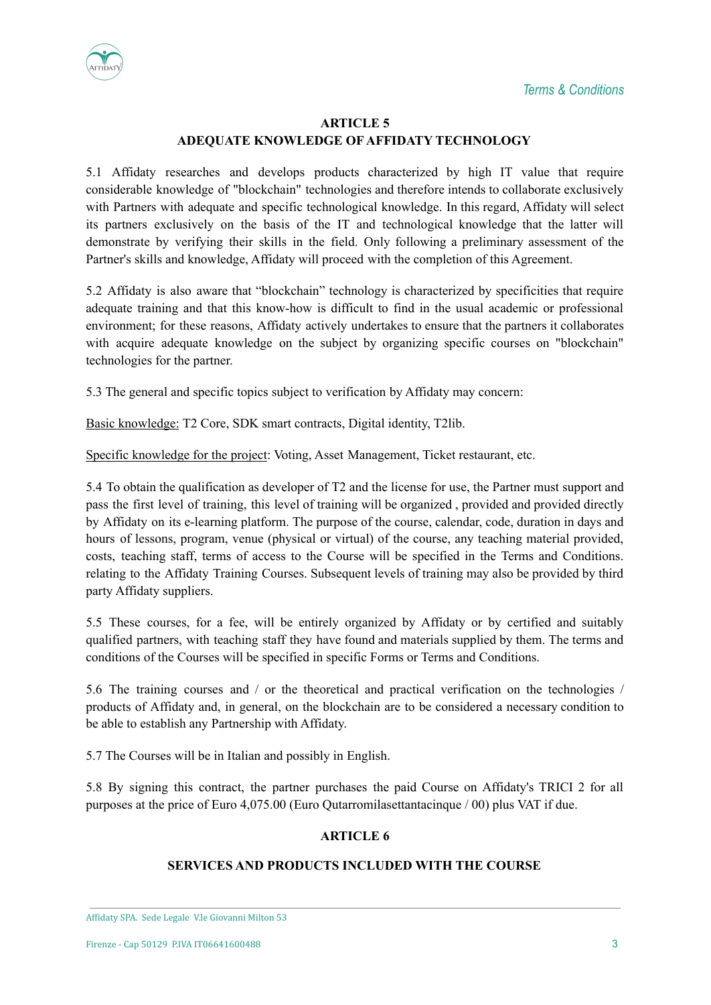



## **ARTICLE 5 ADEQUATE KNOWLEDGE OF AFFIDATY TECHNOLOGY**

5.1 Affidaty researches and develops products characterized by high IT value that require considerable knowledge of "blockchain" technologies and therefore intends to collaborate exclusively with Partners with adequate and specific technological knowledge. In this regard, Affidaty will select its partners exclusively on the basis of the IT and technological knowledge that the latter will demonstrate by verifying their skills in the field. Only following a preliminary assessment of the Partner's skills and knowledge, Affidaty will proceed with the completion of this Agreement.

5.2 Affidaty is also aware that "blockchain" technology is characterized by specificities that require adequate training and that this know-how is difficult to find in the usual academic or professional environment; for these reasons, Affidaty actively undertakes to ensure that the partners it collaborates with acquire adequate knowledge on the subject by organizing specific courses on "blockchain" technologies for the partner.

5.3 The general and specific topics subject to verification by Affidaty may concern:

Basic knowledge: T2 Core, SDK smart contracts, Digital identity, T2lib.

Specific knowledge for the project: Voting, Asset Management, Ticket restaurant, etc.

5.4 To obtain the qualification as developer of T2 and the license for use, the Partner must support and pass the first level of training, this level of training will be organized , provided and provided directly by Affidaty on its e-learning platform. The purpose of the course, calendar, code, duration in days and hours of lessons, program, venue (physical or virtual) of the course, any teaching material provided, costs, teaching staff, terms of access to the Course will be specified in the Terms and Conditions. relating to the Affidaty Training Courses. Subsequent levels of training may also be provided by third party Affidaty suppliers.

5.5 These courses, for a fee, will be entirely organized by Affidaty or by certified and suitably qualified partners, with teaching staff they have found and materials supplied by them. The terms and conditions of the Courses will be specified in specific Forms or Terms and Conditions.

5.6 The training courses and / or the theoretical and practical verification on the technologies / products of Affidaty and, in general, on the blockchain are to be considered a necessary condition to be able to establish any Partnership with Affidaty.

5.7 The Courses will be in Italian and possibly in English.

5.8 By signing this contract, the partner purchases the paid Course on Affidaty's TRICI 2 for all purposes at the price of Euro 4,075.00 (Euro Qutarromilasettantacinque / 00) plus VAT if due.

## **ARTICLE 6**

## **SERVICES AND PRODUCTS INCLUDED WITH THE COURSE**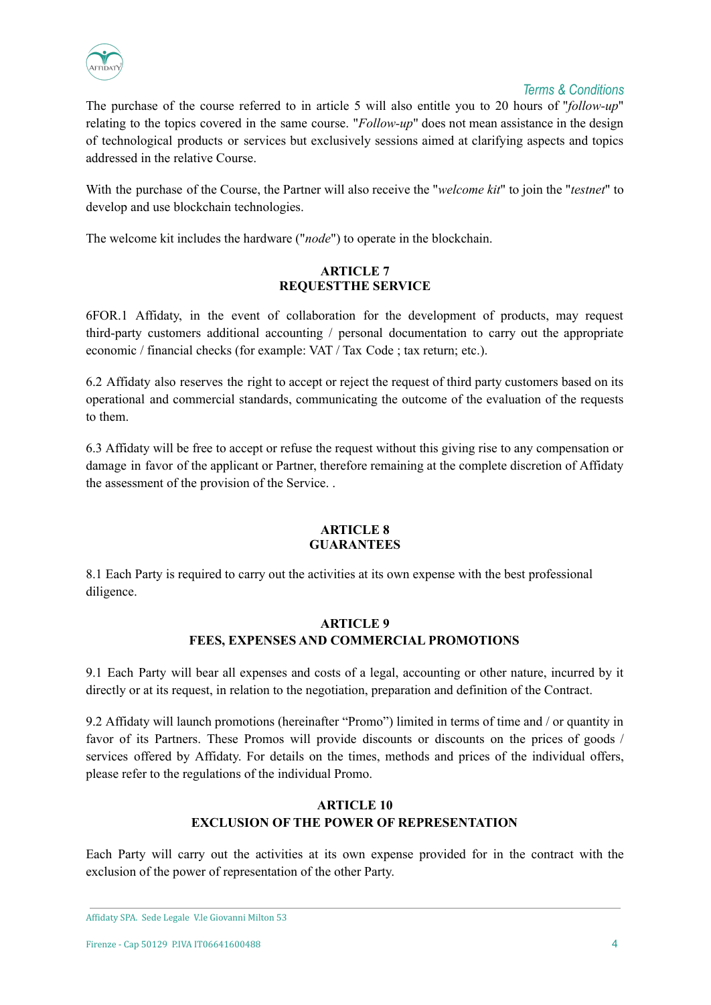

## *Terms & Conditions*

The purchase of the course referred to in article 5 will also entitle you to 20 hours of "*follow-up*" relating to the topics covered in the same course. "*Follow-up*" does not mean assistance in the design of technological products or services but exclusively sessions aimed at clarifying aspects and topics addressed in the relative Course.

With the purchase of the Course, the Partner will also receive the "*welcome kit*" to join the "*testnet*" to develop and use blockchain technologies.

The welcome kit includes the hardware ("*node*") to operate in the blockchain.

#### **ARTICLE 7 REQUESTTHE SERVICE**

6FOR.1 Affidaty, in the event of collaboration for the development of products, may request third-party customers additional accounting / personal documentation to carry out the appropriate economic / financial checks (for example: VAT / Tax Code ; tax return; etc.).

6.2 Affidaty also reserves the right to accept or reject the request of third party customers based on its operational and commercial standards, communicating the outcome of the evaluation of the requests to them.

6.3 Affidaty will be free to accept or refuse the request without this giving rise to any compensation or damage in favor of the applicant or Partner, therefore remaining at the complete discretion of Affidaty the assessment of the provision of the Service. .

#### **ARTICLE 8 GUARANTEES**

8.1 Each Party is required to carry out the activities at its own expense with the best professional diligence.

## **ARTICLE 9 FEES, EXPENSES AND COMMERCIAL PROMOTIONS**

9.1 Each Party will bear all expenses and costs of a legal, accounting or other nature, incurred by it directly or at its request, in relation to the negotiation, preparation and definition of the Contract.

9.2 Affidaty will launch promotions (hereinafter "Promo") limited in terms of time and / or quantity in favor of its Partners. These Promos will provide discounts or discounts on the prices of goods / services offered by Affidaty. For details on the times, methods and prices of the individual offers, please refer to the regulations of the individual Promo.

# **ARTICLE 10 EXCLUSION OF THE POWER OF REPRESENTATION**

Each Party will carry out the activities at its own expense provided for in the contract with the exclusion of the power of representation of the other Party.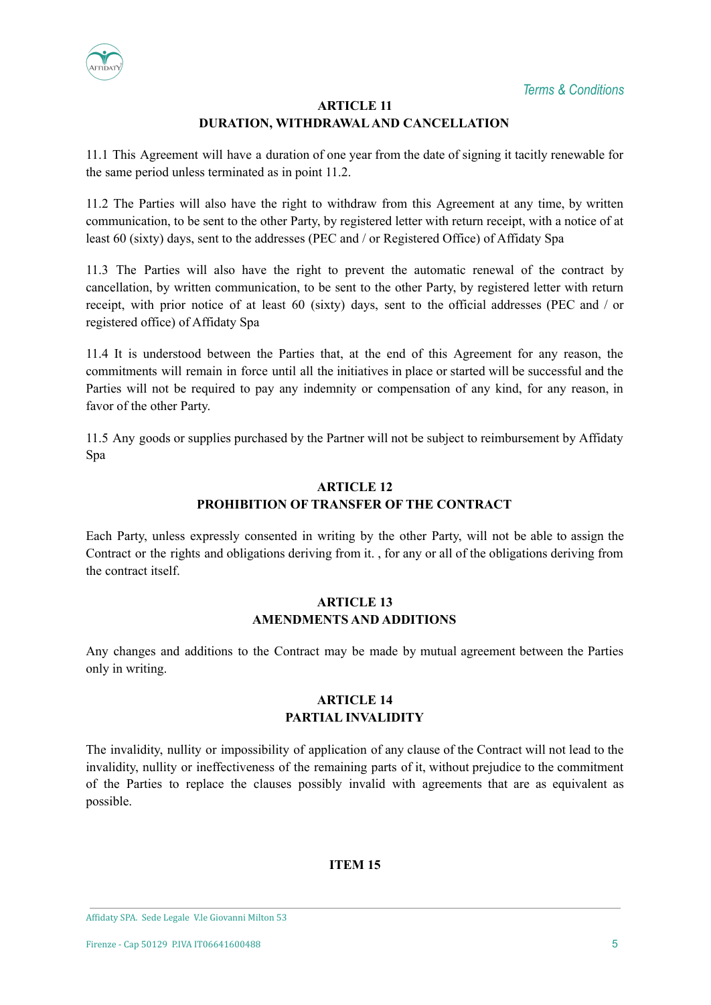

# **ARTICLE 11 DURATION, WITHDRAWALAND CANCELLATION**

11.1 This Agreement will have a duration of one year from the date of signing it tacitly renewable for the same period unless terminated as in point 11.2.

11.2 The Parties will also have the right to withdraw from this Agreement at any time, by written communication, to be sent to the other Party, by registered letter with return receipt, with a notice of at least 60 (sixty) days, sent to the addresses (PEC and / or Registered Office) of Affidaty Spa

11.3 The Parties will also have the right to prevent the automatic renewal of the contract by cancellation, by written communication, to be sent to the other Party, by registered letter with return receipt, with prior notice of at least 60 (sixty) days, sent to the official addresses (PEC and / or registered office) of Affidaty Spa

11.4 It is understood between the Parties that, at the end of this Agreement for any reason, the commitments will remain in force until all the initiatives in place or started will be successful and the Parties will not be required to pay any indemnity or compensation of any kind, for any reason, in favor of the other Party.

11.5 Any goods or supplies purchased by the Partner will not be subject to reimbursement by Affidaty Spa

#### **ARTICLE 12 PROHIBITION OF TRANSFER OF THE CONTRACT**

Each Party, unless expressly consented in writing by the other Party, will not be able to assign the Contract or the rights and obligations deriving from it. , for any or all of the obligations deriving from the contract itself.

## **ARTICLE 13 AMENDMENTS AND ADDITIONS**

Any changes and additions to the Contract may be made by mutual agreement between the Parties only in writing.

## **ARTICLE 14 PARTIAL INVALIDITY**

The invalidity, nullity or impossibility of application of any clause of the Contract will not lead to the invalidity, nullity or ineffectiveness of the remaining parts of it, without prejudice to the commitment of the Parties to replace the clauses possibly invalid with agreements that are as equivalent as possible.

# **ITEM 15**

Affidaty SPA. Sede Legale V.le Giovanni Milton 53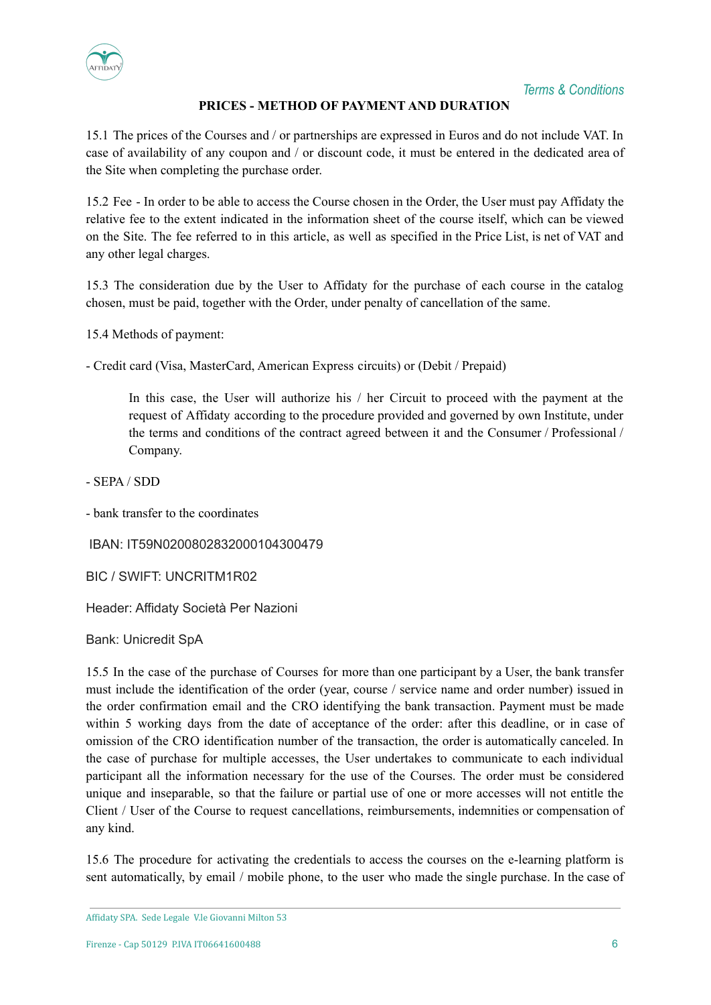

## *Terms & Conditions*

## **PRICES - METHOD OF PAYMENT AND DURATION**

15.1 The prices of the Courses and / or partnerships are expressed in Euros and do not include VAT. In case of availability of any coupon and / or discount code, it must be entered in the dedicated area of the Site when completing the purchase order.

15.2 Fee - In order to be able to access the Course chosen in the Order, the User must pay Affidaty the relative fee to the extent indicated in the information sheet of the course itself, which can be viewed on the Site. The fee referred to in this article, as well as specified in the Price List, is net of VAT and any other legal charges.

15.3 The consideration due by the User to Affidaty for the purchase of each course in the catalog chosen, must be paid, together with the Order, under penalty of cancellation of the same.

15.4 Methods of payment:

- Credit card (Visa, MasterCard, American Express circuits) or (Debit / Prepaid)

In this case, the User will authorize his / her Circuit to proceed with the payment at the request of Affidaty according to the procedure provided and governed by own Institute, under the terms and conditions of the contract agreed between it and the Consumer / Professional / Company.

- SEPA / SDD

- bank transfer to the coordinates

IBAN: IT59N0200802832000104300479

BIC / SWIFT: UNCRITM1R02

Header: Affidaty Società Per Nazioni

Bank: Unicredit SpA

15.5 In the case of the purchase of Courses for more than one participant by a User, the bank transfer must include the identification of the order (year, course / service name and order number) issued in the order confirmation email and the CRO identifying the bank transaction. Payment must be made within 5 working days from the date of acceptance of the order: after this deadline, or in case of omission of the CRO identification number of the transaction, the order is automatically canceled. In the case of purchase for multiple accesses, the User undertakes to communicate to each individual participant all the information necessary for the use of the Courses. The order must be considered unique and inseparable, so that the failure or partial use of one or more accesses will not entitle the Client / User of the Course to request cancellations, reimbursements, indemnities or compensation of any kind.

15.6 The procedure for activating the credentials to access the courses on the e-learning platform is sent automatically, by email / mobile phone, to the user who made the single purchase. In the case of

Affidaty SPA. Sede Legale V.le Giovanni Milton 53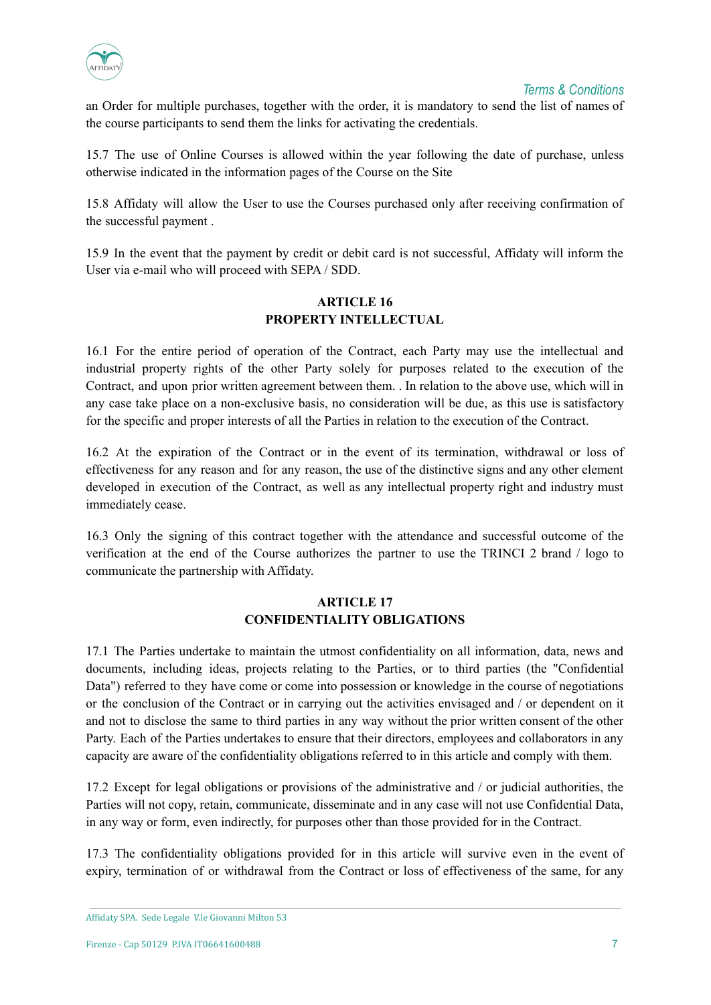

an Order for multiple purchases, together with the order, it is mandatory to send the list of names of the course participants to send them the links for activating the credentials.

15.7 The use of Online Courses is allowed within the year following the date of purchase, unless otherwise indicated in the information pages of the Course on the Site

15.8 Affidaty will allow the User to use the Courses purchased only after receiving confirmation of the successful payment .

15.9 In the event that the payment by credit or debit card is not successful, Affidaty will inform the User via e-mail who will proceed with SEPA / SDD.

## **ARTICLE 16 PROPERTY INTELLECTUAL**

16.1 For the entire period of operation of the Contract, each Party may use the intellectual and industrial property rights of the other Party solely for purposes related to the execution of the Contract, and upon prior written agreement between them. . In relation to the above use, which will in any case take place on a non-exclusive basis, no consideration will be due, as this use is satisfactory for the specific and proper interests of all the Parties in relation to the execution of the Contract.

16.2 At the expiration of the Contract or in the event of its termination, withdrawal or loss of effectiveness for any reason and for any reason, the use of the distinctive signs and any other element developed in execution of the Contract, as well as any intellectual property right and industry must immediately cease.

16.3 Only the signing of this contract together with the attendance and successful outcome of the verification at the end of the Course authorizes the partner to use the TRINCI 2 brand / logo to communicate the partnership with Affidaty.

## **ARTICLE 17 CONFIDENTIALITY OBLIGATIONS**

17.1 The Parties undertake to maintain the utmost confidentiality on all information, data, news and documents, including ideas, projects relating to the Parties, or to third parties (the "Confidential Data") referred to they have come or come into possession or knowledge in the course of negotiations or the conclusion of the Contract or in carrying out the activities envisaged and / or dependent on it and not to disclose the same to third parties in any way without the prior written consent of the other Party. Each of the Parties undertakes to ensure that their directors, employees and collaborators in any capacity are aware of the confidentiality obligations referred to in this article and comply with them.

17.2 Except for legal obligations or provisions of the administrative and / or judicial authorities, the Parties will not copy, retain, communicate, disseminate and in any case will not use Confidential Data, in any way or form, even indirectly, for purposes other than those provided for in the Contract.

17.3 The confidentiality obligations provided for in this article will survive even in the event of expiry, termination of or withdrawal from the Contract or loss of effectiveness of the same, for any

Affidaty SPA. Sede Legale V.le Giovanni Milton 53